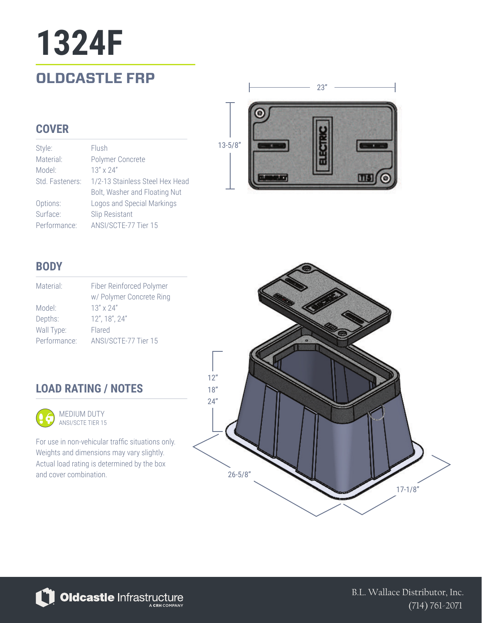## **OLDCASTLE FRP 1324F**

### **COVER**

Style: Material: Model: Std. Fasteners: Options: Surface: Performance: Flush Polymer Concrete 13" x 24" 1/2-13 Stainless Steel Hex Head Bolt, Washer and Floating Nut Logos and Special Markings Slip Resistant ANSI/SCTE-77 Tier 15



### **BODY**

| Material:    | Fiber Reinforced Polymer<br>w/ Polymer Concrete Ring |
|--------------|------------------------------------------------------|
| Model:       | $13'' \times 24''$                                   |
| Depths:      | 12", 18", 24"                                        |
| Wall Type:   | Flared                                               |
| Performance: | ANSI/SCTE-77 Tier 15                                 |

### **LOAD RATING / NOTES**



MEDIUM DUTY ANSI/SCTE TIER 15

For use in non-vehicular traffic situations only. Weights and dimensions may vary slightly. Actual load rating is determined by the box and cover combination.





B.L. Wallace Distributor, Inc. (714) 761-2071